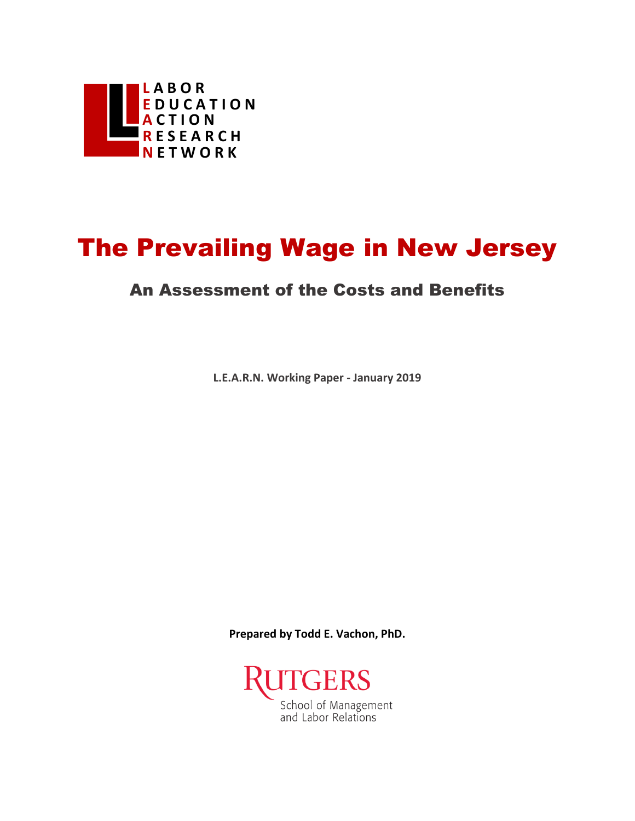

# The Prevailing Wage in New Jersey

#### An Assessment of the Costs and Benefits

**L.E.A.R.N. Working Paper - January 2019**

**Prepared by Todd E. Vachon, PhD.**

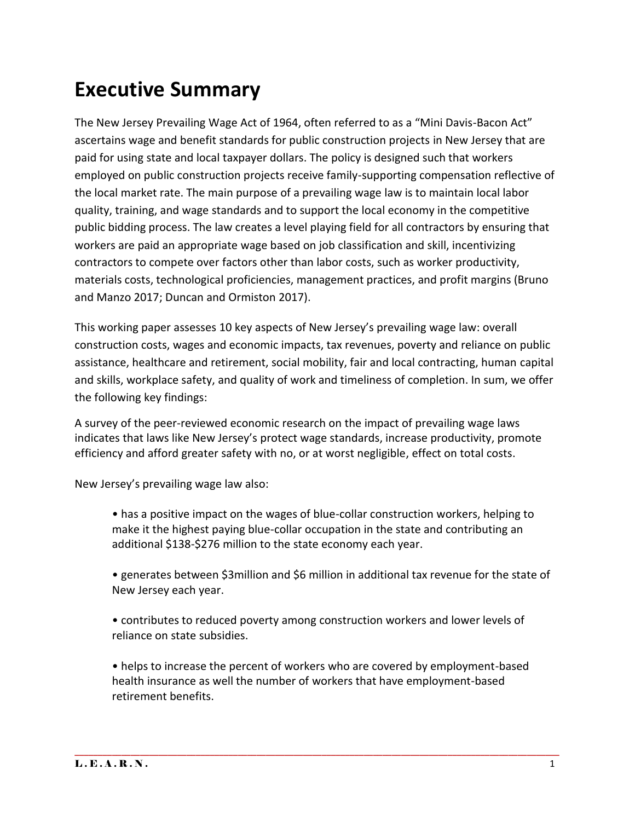# **Executive Summary**

The New Jersey Prevailing Wage Act of 1964, often referred to as a "Mini Davis-Bacon Act" ascertains wage and benefit standards for public construction projects in New Jersey that are paid for using state and local taxpayer dollars. The policy is designed such that workers employed on public construction projects receive family-supporting compensation reflective of the local market rate. The main purpose of a prevailing wage law is to maintain local labor quality, training, and wage standards and to support the local economy in the competitive public bidding process. The law creates a level playing field for all contractors by ensuring that workers are paid an appropriate wage based on job classification and skill, incentivizing contractors to compete over factors other than labor costs, such as worker productivity, materials costs, technological proficiencies, management practices, and profit margins (Bruno and Manzo 2017; Duncan and Ormiston 2017).

This working paper assesses 10 key aspects of New Jersey's prevailing wage law: overall construction costs, wages and economic impacts, tax revenues, poverty and reliance on public assistance, healthcare and retirement, social mobility, fair and local contracting, human capital and skills, workplace safety, and quality of work and timeliness of completion. In sum, we offer the following key findings:

A survey of the peer-reviewed economic research on the impact of prevailing wage laws indicates that laws like New Jersey's protect wage standards, increase productivity, promote efficiency and afford greater safety with no, or at worst negligible, effect on total costs.

New Jersey's prevailing wage law also:

• has a positive impact on the wages of blue-collar construction workers, helping to make it the highest paying blue-collar occupation in the state and contributing an additional \$138-\$276 million to the state economy each year.

• generates between \$3million and \$6 million in additional tax revenue for the state of New Jersey each year.

• contributes to reduced poverty among construction workers and lower levels of reliance on state subsidies.

• helps to increase the percent of workers who are covered by employment-based health insurance as well the number of workers that have employment-based retirement benefits.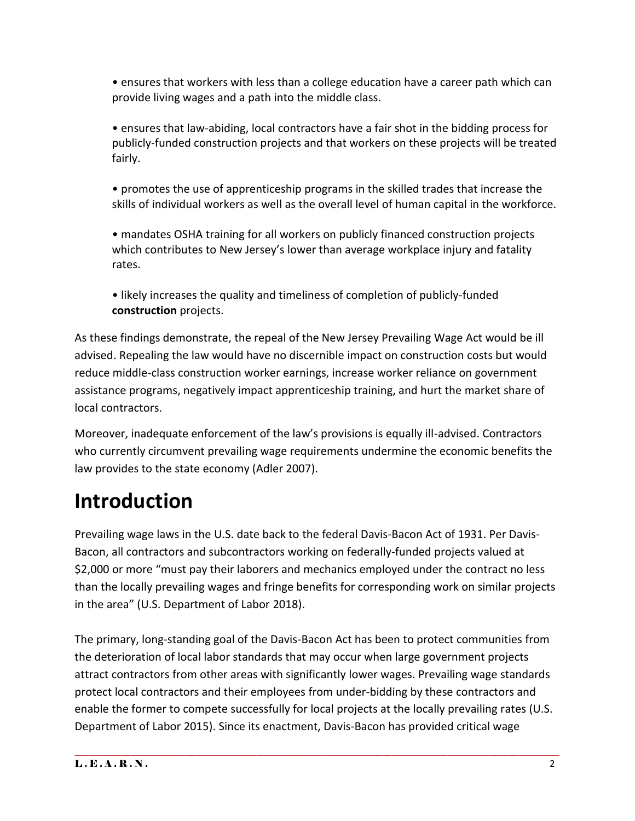• ensures that workers with less than a college education have a career path which can provide living wages and a path into the middle class.

• ensures that law-abiding, local contractors have a fair shot in the bidding process for publicly-funded construction projects and that workers on these projects will be treated fairly.

• promotes the use of apprenticeship programs in the skilled trades that increase the skills of individual workers as well as the overall level of human capital in the workforce.

• mandates OSHA training for all workers on publicly financed construction projects which contributes to New Jersey's lower than average workplace injury and fatality rates.

• likely increases the quality and timeliness of completion of publicly-funded **construction** projects.

As these findings demonstrate, the repeal of the New Jersey Prevailing Wage Act would be ill advised. Repealing the law would have no discernible impact on construction costs but would reduce middle-class construction worker earnings, increase worker reliance on government assistance programs, negatively impact apprenticeship training, and hurt the market share of local contractors.

Moreover, inadequate enforcement of the law's provisions is equally ill-advised. Contractors who currently circumvent prevailing wage requirements undermine the economic benefits the law provides to the state economy (Adler 2007).

# **Introduction**

Prevailing wage laws in the U.S. date back to the federal Davis-Bacon Act of 1931. Per Davis-Bacon, all contractors and subcontractors working on federally-funded projects valued at \$2,000 or more "must pay their laborers and mechanics employed under the contract no less than the locally prevailing wages and fringe benefits for corresponding work on similar projects in the area" (U.S. Department of Labor 2018).

The primary, long-standing goal of the Davis-Bacon Act has been to protect communities from the deterioration of local labor standards that may occur when large government projects attract contractors from other areas with significantly lower wages. Prevailing wage standards protect local contractors and their employees from under-bidding by these contractors and enable the former to compete successfully for local projects at the locally prevailing rates (U.S. Department of Labor 2015). Since its enactment, Davis-Bacon has provided critical wage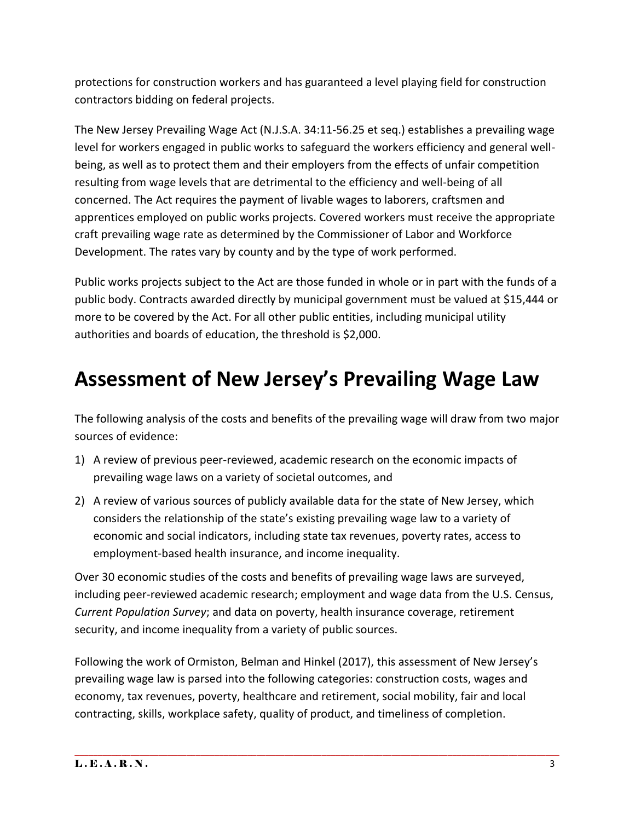protections for construction workers and has guaranteed a level playing field for construction contractors bidding on federal projects.

The New Jersey Prevailing Wage Act (N.J.S.A. 34:11-56.25 et seq.) establishes a prevailing wage level for workers engaged in public works to safeguard the workers efficiency and general wellbeing, as well as to protect them and their employers from the effects of unfair competition resulting from wage levels that are detrimental to the efficiency and well-being of all concerned. The Act requires the payment of livable wages to laborers, craftsmen and apprentices employed on public works projects. Covered workers must receive the appropriate craft prevailing wage rate as determined by the Commissioner of Labor and Workforce Development. The rates vary by county and by the type of work performed.

Public works projects subject to the Act are those funded in whole or in part with the funds of a public body. Contracts awarded directly by municipal government must be valued at \$15,444 or more to be covered by the Act. For all other public entities, including municipal utility authorities and boards of education, the threshold is \$2,000.

## **Assessment of New Jersey's Prevailing Wage Law**

The following analysis of the costs and benefits of the prevailing wage will draw from two major sources of evidence:

- 1) A review of previous peer-reviewed, academic research on the economic impacts of prevailing wage laws on a variety of societal outcomes, and
- 2) A review of various sources of publicly available data for the state of New Jersey, which considers the relationship of the state's existing prevailing wage law to a variety of economic and social indicators, including state tax revenues, poverty rates, access to employment-based health insurance, and income inequality.

Over 30 economic studies of the costs and benefits of prevailing wage laws are surveyed, including peer-reviewed academic research; employment and wage data from the U.S. Census, *Current Population Survey*; and data on poverty, health insurance coverage, retirement security, and income inequality from a variety of public sources.

Following the work of Ormiston, Belman and Hinkel (2017), this assessment of New Jersey's prevailing wage law is parsed into the following categories: construction costs, wages and economy, tax revenues, poverty, healthcare and retirement, social mobility, fair and local contracting, skills, workplace safety, quality of product, and timeliness of completion.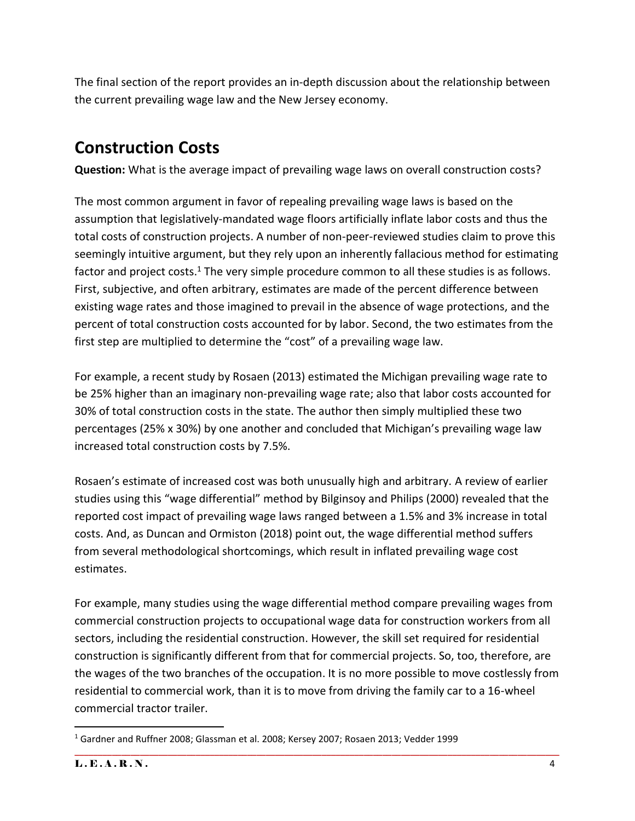The final section of the report provides an in-depth discussion about the relationship between the current prevailing wage law and the New Jersey economy.

### **Construction Costs**

**Question:** What is the average impact of prevailing wage laws on overall construction costs?

The most common argument in favor of repealing prevailing wage laws is based on the assumption that legislatively-mandated wage floors artificially inflate labor costs and thus the total costs of construction projects. A number of non-peer-reviewed studies claim to prove this seemingly intuitive argument, but they rely upon an inherently fallacious method for estimating factor and project costs.<sup>1</sup> The very simple procedure common to all these studies is as follows. First, subjective, and often arbitrary, estimates are made of the percent difference between existing wage rates and those imagined to prevail in the absence of wage protections, and the percent of total construction costs accounted for by labor. Second, the two estimates from the first step are multiplied to determine the "cost" of a prevailing wage law.

For example, a recent study by Rosaen (2013) estimated the Michigan prevailing wage rate to be 25% higher than an imaginary non-prevailing wage rate; also that labor costs accounted for 30% of total construction costs in the state. The author then simply multiplied these two percentages (25% x 30%) by one another and concluded that Michigan's prevailing wage law increased total construction costs by 7.5%.

Rosaen's estimate of increased cost was both unusually high and arbitrary. A review of earlier studies using this "wage differential" method by Bilginsoy and Philips (2000) revealed that the reported cost impact of prevailing wage laws ranged between a 1.5% and 3% increase in total costs. And, as Duncan and Ormiston (2018) point out, the wage differential method suffers from several methodological shortcomings, which result in inflated prevailing wage cost estimates.

For example, many studies using the wage differential method compare prevailing wages from commercial construction projects to occupational wage data for construction workers from all sectors, including the residential construction. However, the skill set required for residential construction is significantly different from that for commercial projects. So, too, therefore, are the wages of the two branches of the occupation. It is no more possible to move costlessly from residential to commercial work, than it is to move from driving the family car to a 16-wheel commercial tractor trailer.

 $\overline{\phantom{a}}$ <sup>1</sup> Gardner and Ruffner 2008; Glassman et al. 2008; Kersey 2007; Rosaen 2013; Vedder 1999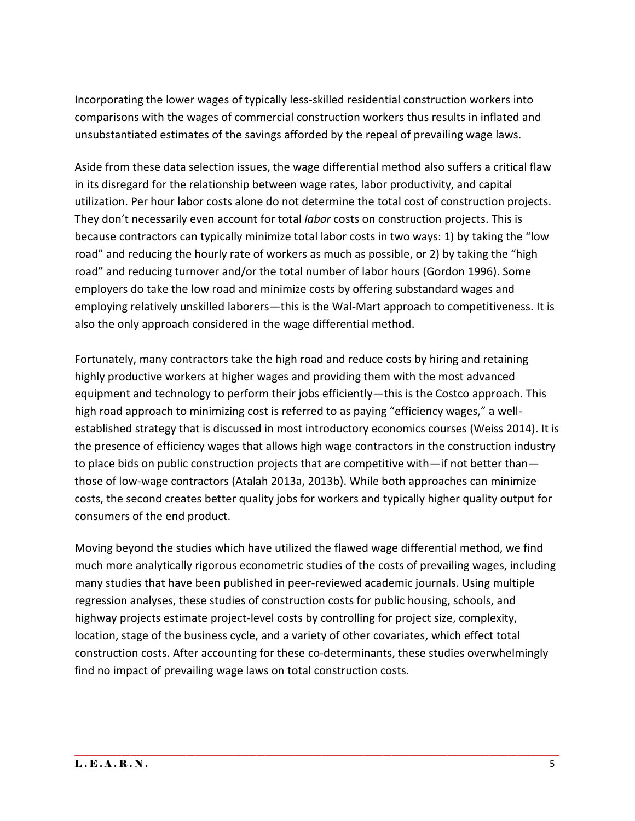Incorporating the lower wages of typically less-skilled residential construction workers into comparisons with the wages of commercial construction workers thus results in inflated and unsubstantiated estimates of the savings afforded by the repeal of prevailing wage laws.

Aside from these data selection issues, the wage differential method also suffers a critical flaw in its disregard for the relationship between wage rates, labor productivity, and capital utilization. Per hour labor costs alone do not determine the total cost of construction projects. They don't necessarily even account for total *labor* costs on construction projects. This is because contractors can typically minimize total labor costs in two ways: 1) by taking the "low road" and reducing the hourly rate of workers as much as possible, or 2) by taking the "high road" and reducing turnover and/or the total number of labor hours (Gordon 1996). Some employers do take the low road and minimize costs by offering substandard wages and employing relatively unskilled laborers—this is the Wal-Mart approach to competitiveness. It is also the only approach considered in the wage differential method.

Fortunately, many contractors take the high road and reduce costs by hiring and retaining highly productive workers at higher wages and providing them with the most advanced equipment and technology to perform their jobs efficiently—this is the Costco approach. This high road approach to minimizing cost is referred to as paying "efficiency wages," a wellestablished strategy that is discussed in most introductory economics courses (Weiss 2014). It is the presence of efficiency wages that allows high wage contractors in the construction industry to place bids on public construction projects that are competitive with—if not better than those of low-wage contractors (Atalah 2013a, 2013b). While both approaches can minimize costs, the second creates better quality jobs for workers and typically higher quality output for consumers of the end product.

Moving beyond the studies which have utilized the flawed wage differential method, we find much more analytically rigorous econometric studies of the costs of prevailing wages, including many studies that have been published in peer-reviewed academic journals. Using multiple regression analyses, these studies of construction costs for public housing, schools, and highway projects estimate project-level costs by controlling for project size, complexity, location, stage of the business cycle, and a variety of other covariates, which effect total construction costs. After accounting for these co-determinants, these studies overwhelmingly find no impact of prevailing wage laws on total construction costs.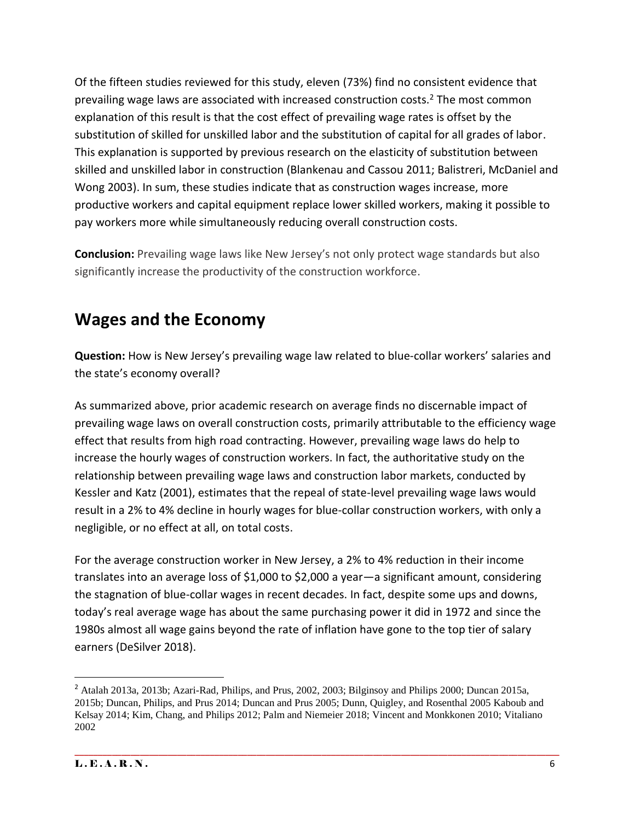Of the fifteen studies reviewed for this study, eleven (73%) find no consistent evidence that prevailing wage laws are associated with increased construction costs. $2$  The most common explanation of this result is that the cost effect of prevailing wage rates is offset by the substitution of skilled for unskilled labor and the substitution of capital for all grades of labor. This explanation is supported by previous research on the elasticity of substitution between skilled and unskilled labor in construction (Blankenau and Cassou 2011; Balistreri, McDaniel and Wong 2003). In sum, these studies indicate that as construction wages increase, more productive workers and capital equipment replace lower skilled workers, making it possible to pay workers more while simultaneously reducing overall construction costs.

**Conclusion:** Prevailing wage laws like New Jersey's not only protect wage standards but also significantly increase the productivity of the construction workforce.

#### **Wages and the Economy**

**Question:** How is New Jersey's prevailing wage law related to blue-collar workers' salaries and the state's economy overall?

As summarized above, prior academic research on average finds no discernable impact of prevailing wage laws on overall construction costs, primarily attributable to the efficiency wage effect that results from high road contracting. However, prevailing wage laws do help to increase the hourly wages of construction workers. In fact, the authoritative study on the relationship between prevailing wage laws and construction labor markets, conducted by Kessler and Katz (2001), estimates that the repeal of state-level prevailing wage laws would result in a 2% to 4% decline in hourly wages for blue-collar construction workers, with only a negligible, or no effect at all, on total costs.

For the average construction worker in New Jersey, a 2% to 4% reduction in their income translates into an average loss of \$1,000 to \$2,000 a year—a significant amount, considering the stagnation of blue-collar wages in recent decades. In fact, despite some ups and downs, today's real average wage has about the same purchasing power it did in 1972 and since the 1980s almost all wage gains beyond the rate of inflation have gone to the top tier of salary earners (DeSilver 2018).

\_\_\_\_\_\_\_\_\_\_\_\_\_\_\_\_\_\_\_\_\_\_\_\_\_\_\_\_\_\_\_\_\_\_\_\_\_\_\_\_\_\_\_\_\_\_\_\_\_\_\_\_\_\_\_\_\_\_\_\_\_\_\_\_\_\_\_\_\_\_\_\_\_\_\_\_\_\_\_\_\_\_\_\_\_\_\_\_\_\_\_\_\_\_\_\_\_\_\_\_\_\_\_\_

 $\overline{\phantom{a}}$ 

<sup>2</sup> Atalah 2013a, 2013b; Azari-Rad, Philips, and Prus, 2002, 2003; Bilginsoy and Philips 2000; Duncan 2015a, 2015b; Duncan, Philips, and Prus 2014; Duncan and Prus 2005; Dunn, Quigley, and Rosenthal 2005 Kaboub and Kelsay 2014; Kim, Chang, and Philips 2012; Palm and Niemeier 2018; Vincent and Monkkonen 2010; Vitaliano 2002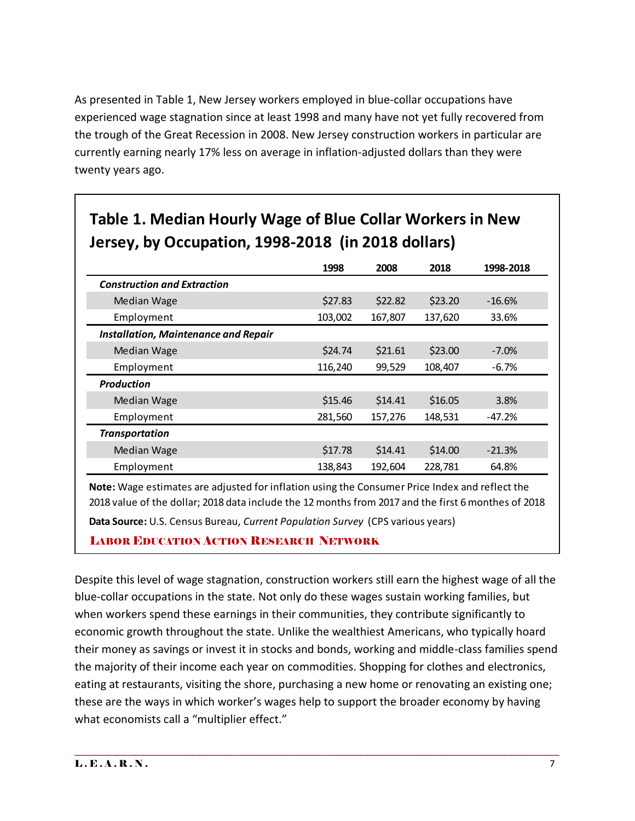As presented in Table 1, New Jersey workers employed in blue-collar occupations have experienced wage stagnation since at least 1998 and many have not yet fully recovered from the trough of the Great Recession in 2008. New Jersey construction workers in particular are currently earning nearly 17% less on average in inflation-adjusted dollars than they were twenty years ago.

|                                             | 1998    | 2008    | 2018    | 1998-2018 |
|---------------------------------------------|---------|---------|---------|-----------|
| <b>Construction and Extraction</b>          |         |         |         |           |
| Median Wage                                 | \$27.83 | \$22.82 | \$23.20 | $-16.6\%$ |
| Employment                                  | 103,002 | 167,807 | 137,620 | 33.6%     |
| <b>Installation, Maintenance and Repair</b> |         |         |         |           |
| <b>Median Wage</b>                          | \$24.74 | \$21.61 | \$23.00 | $-7.0%$   |
| Employment                                  | 116,240 | 99,529  | 108,407 | $-6.7%$   |
| <b>Production</b>                           |         |         |         |           |
| <b>Median Wage</b>                          | \$15.46 | \$14.41 | \$16.05 | 3.8%      |
| Employment                                  | 281,560 | 157,276 | 148,531 | $-47.2%$  |
| <b>Transportation</b>                       |         |         |         |           |
| <b>Median Wage</b>                          | \$17.78 | \$14.41 | \$14.00 | $-21.3%$  |
| Employment                                  | 138,843 | 192,604 | 228,781 | 64.8%     |

#### **Table 1. Median Hourly Wage of Blue Collar Workers in New Jersey, by Occupation, 1998-2018 (in 2018 dollars)**

**Note:** Wage estimates are adjusted for inflation using the Consumer Price Index and reflect the 2018 value of the dollar; 2018 data include the 12 months from 2017 and the first 6 monthes of 2018

**Data Source:** U.S. Census Bureau, *Current Population Survey* (CPS various years)

#### LABOR EDUCATION ACTION RESEARCH NETWORK

Despite this level of wage stagnation, construction workers still earn the highest wage of all the blue-collar occupations in the state. Not only do these wages sustain working families, but when workers spend these earnings in their communities, they contribute significantly to economic growth throughout the state. Unlike the wealthiest Americans, who typically hoard their money as savings or invest it in stocks and bonds, working and middle-class families spend the majority of their income each year on commodities. Shopping for clothes and electronics, eating at restaurants, visiting the shore, purchasing a new home or renovating an existing one; these are the ways in which worker's wages help to support the broader economy by having what economists call a "multiplier effect."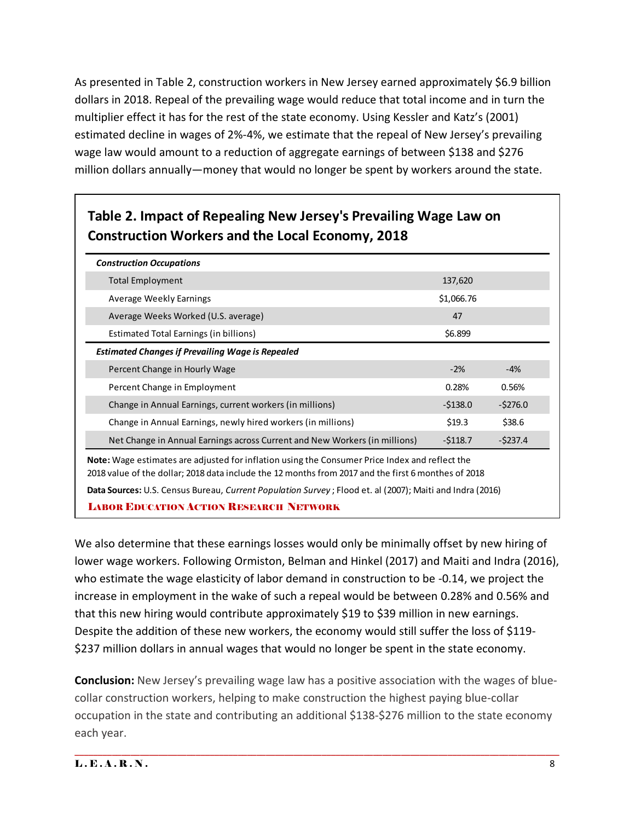As presented in Table 2, construction workers in New Jersey earned approximately \$6.9 billion dollars in 2018. Repeal of the prevailing wage would reduce that total income and in turn the multiplier effect it has for the rest of the state economy. Using Kessler and Katz's (2001) estimated decline in wages of 2%-4%, we estimate that the repeal of New Jersey's prevailing wage law would amount to a reduction of aggregate earnings of between \$138 and \$276 million dollars annually—money that would no longer be spent by workers around the state.

#### **Table 2. Impact of Repealing New Jersey's Prevailing Wage Law on Construction Workers and the Local Economy, 2018**

| <b>Construction Occupations</b>                                                                                                                                                                              |            |           |  |  |
|--------------------------------------------------------------------------------------------------------------------------------------------------------------------------------------------------------------|------------|-----------|--|--|
| Total Employment                                                                                                                                                                                             | 137,620    |           |  |  |
| Average Weekly Earnings                                                                                                                                                                                      | \$1,066.76 |           |  |  |
| Average Weeks Worked (U.S. average)                                                                                                                                                                          | 47         |           |  |  |
| Estimated Total Earnings (in billions)                                                                                                                                                                       | \$6.899    |           |  |  |
| <b>Estimated Changes if Prevailing Wage is Repealed</b>                                                                                                                                                      |            |           |  |  |
| Percent Change in Hourly Wage                                                                                                                                                                                | $-2%$      | -4%       |  |  |
| Percent Change in Employment                                                                                                                                                                                 | 0.28%      | 0.56%     |  |  |
| Change in Annual Earnings, current workers (in millions)                                                                                                                                                     | $-5138.0$  | $-5276.0$ |  |  |
| Change in Annual Earnings, newly hired workers (in millions)                                                                                                                                                 | \$19.3     | \$38.6    |  |  |
| Net Change in Annual Earnings across Current and New Workers (in millions)                                                                                                                                   | $-5118.7$  | $-5237.4$ |  |  |
| <b>Note:</b> Wage estimates are adjusted for inflation using the Consumer Price Index and reflect the<br>2018 value of the dollar; 2018 data include the 12 months from 2017 and the first 6 monthes of 2018 |            |           |  |  |
| Data Sources: U.S. Census Bureau, Current Population Survey; Flood et. al (2007); Maiti and Indra (2016)                                                                                                     |            |           |  |  |
| <b>LABOR EDUCATION ACTION RESEARCH NETWORK</b>                                                                                                                                                               |            |           |  |  |

We also determine that these earnings losses would only be minimally offset by new hiring of lower wage workers. Following Ormiston, Belman and Hinkel (2017) and Maiti and Indra (2016), who estimate the wage elasticity of labor demand in construction to be -0.14, we project the increase in employment in the wake of such a repeal would be between 0.28% and 0.56% and that this new hiring would contribute approximately \$19 to \$39 million in new earnings. Despite the addition of these new workers, the economy would still suffer the loss of \$119- \$237 million dollars in annual wages that would no longer be spent in the state economy.

**Conclusion:** New Jersey's prevailing wage law has a positive association with the wages of bluecollar construction workers, helping to make construction the highest paying blue-collar occupation in the state and contributing an additional \$138-\$276 million to the state economy each year.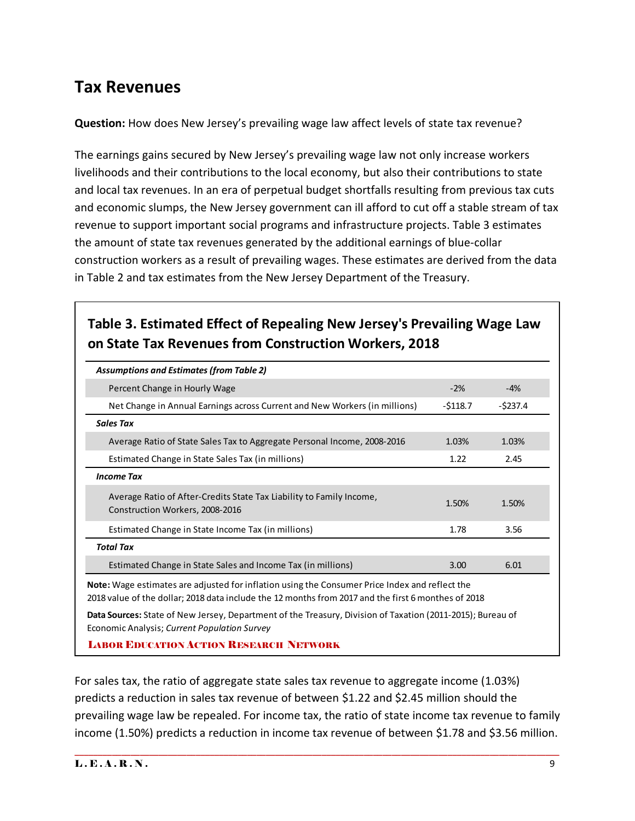#### **Tax Revenues**

**Question:** How does New Jersey's prevailing wage law affect levels of state tax revenue?

The earnings gains secured by New Jersey's prevailing wage law not only increase workers livelihoods and their contributions to the local economy, but also their contributions to state and local tax revenues. In an era of perpetual budget shortfalls resulting from previous tax cuts and economic slumps, the New Jersey government can ill afford to cut off a stable stream of tax revenue to support important social programs and infrastructure projects. Table 3 estimates the amount of state tax revenues generated by the additional earnings of blue-collar construction workers as a result of prevailing wages. These estimates are derived from the data in Table 2 and tax estimates from the New Jersey Department of the Treasury.

#### **Table 3. Estimated Effect of Repealing New Jersey's Prevailing Wage Law on State Tax Revenues from Construction Workers, 2018**

| <b>Assumptions and Estimates (from Table 2)</b>                                                                                                                                                              |           |             |  |  |
|--------------------------------------------------------------------------------------------------------------------------------------------------------------------------------------------------------------|-----------|-------------|--|--|
| Percent Change in Hourly Wage                                                                                                                                                                                | $-2%$     | $-4%$       |  |  |
| Net Change in Annual Earnings across Current and New Workers (in millions)                                                                                                                                   | $-5118.7$ | $-$ \$237.4 |  |  |
| <b>Sales Tax</b>                                                                                                                                                                                             |           |             |  |  |
| Average Ratio of State Sales Tax to Aggregate Personal Income, 2008-2016                                                                                                                                     | 1.03%     | 1.03%       |  |  |
| Estimated Change in State Sales Tax (in millions)                                                                                                                                                            | 1.22      | 2.45        |  |  |
| <b>Income Tax</b>                                                                                                                                                                                            |           |             |  |  |
| Average Ratio of After-Credits State Tax Liability to Family Income,<br>Construction Workers, 2008-2016                                                                                                      | 1.50%     | 1.50%       |  |  |
| Estimated Change in State Income Tax (in millions)                                                                                                                                                           | 1.78      | 3.56        |  |  |
| <b>Total Tax</b>                                                                                                                                                                                             |           |             |  |  |
| Estimated Change in State Sales and Income Tax (in millions)                                                                                                                                                 | 3.00      | 6.01        |  |  |
| <b>Note:</b> Wage estimates are adjusted for inflation using the Consumer Price Index and reflect the<br>2018 value of the dollar; 2018 data include the 12 months from 2017 and the first 6 monthes of 2018 |           |             |  |  |
| Data Sources: State of New Jersey, Department of the Treasury, Division of Taxation (2011-2015); Bureau of<br>Economic Analysis; Current Population Survey                                                   |           |             |  |  |

LABOR EDUCATION ACTION RESEARCH NETWORK

For sales tax, the ratio of aggregate state sales tax revenue to aggregate income (1.03%) predicts a reduction in sales tax revenue of between \$1.22 and \$2.45 million should the prevailing wage law be repealed. For income tax, the ratio of state income tax revenue to family income (1.50%) predicts a reduction in income tax revenue of between \$1.78 and \$3.56 million.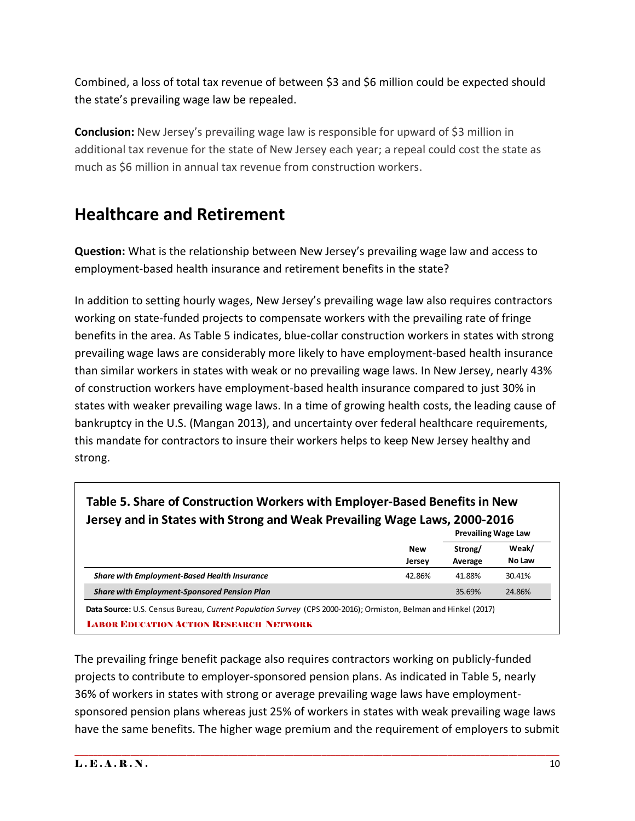Combined, a loss of total tax revenue of between \$3 and \$6 million could be expected should the state's prevailing wage law be repealed.

**Conclusion:** New Jersey's prevailing wage law is responsible for upward of \$3 million in additional tax revenue for the state of New Jersey each year; a repeal could cost the state as much as \$6 million in annual tax revenue from construction workers.

#### **Healthcare and Retirement**

**Question:** What is the relationship between New Jersey's prevailing wage law and access to employment-based health insurance and retirement benefits in the state?

In addition to setting hourly wages, New Jersey's prevailing wage law also requires contractors working on state-funded projects to compensate workers with the prevailing rate of fringe benefits in the area. As Table 5 indicates, blue-collar construction workers in states with strong prevailing wage laws are considerably more likely to have employment-based health insurance than similar workers in states with weak or no prevailing wage laws. In New Jersey, nearly 43% of construction workers have employment-based health insurance compared to just 30% in states with weaker prevailing wage laws. In a time of growing health costs, the leading cause of bankruptcy in the U.S. (Mangan 2013), and uncertainty over federal healthcare requirements, this mandate for contractors to insure their workers helps to keep New Jersey healthy and strong.

| Jersey and in States with Strong and Weak Prevailing Wage Laws, 2000-2016 |                      | <b>Prevailing Wage Law</b> |                 |
|---------------------------------------------------------------------------|----------------------|----------------------------|-----------------|
|                                                                           | <b>New</b><br>Jersey | Strong/<br>Average         | Weak/<br>No Law |
| <b>Share with Employment-Based Health Insurance</b>                       | 42.86%               | 41.88%                     | 30.41%          |
| <b>Share with Employment-Sponsored Pension Plan</b>                       |                      | 35.69%                     | 24.86%          |

The prevailing fringe benefit package also requires contractors working on publicly-funded projects to contribute to employer-sponsored pension plans. As indicated in Table 5, nearly 36% of workers in states with strong or average prevailing wage laws have employmentsponsored pension plans whereas just 25% of workers in states with weak prevailing wage laws have the same benefits. The higher wage premium and the requirement of employers to submit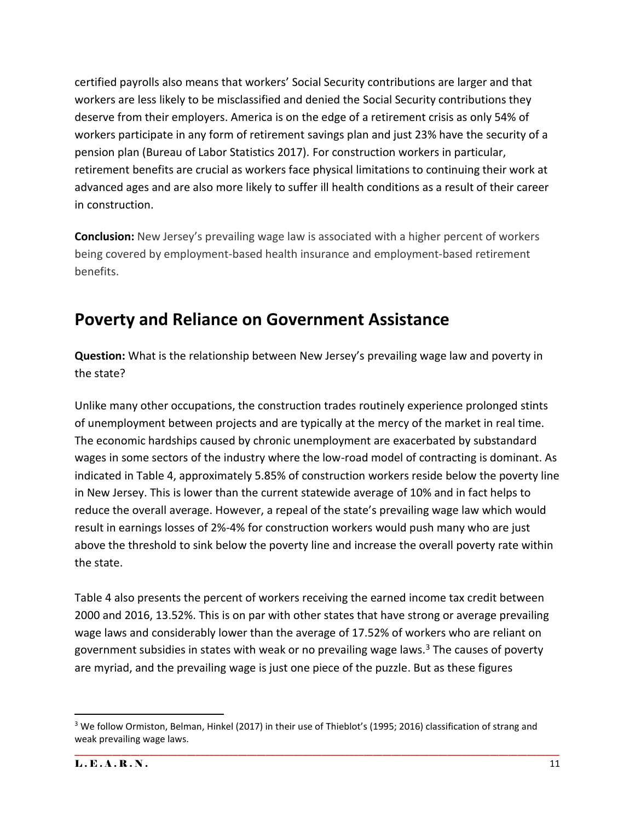certified payrolls also means that workers' Social Security contributions are larger and that workers are less likely to be misclassified and denied the Social Security contributions they deserve from their employers. America is on the edge of a retirement crisis as only 54% of workers participate in any form of retirement savings plan and just 23% have the security of a pension plan (Bureau of Labor Statistics 2017). For construction workers in particular, retirement benefits are crucial as workers face physical limitations to continuing their work at advanced ages and are also more likely to suffer ill health conditions as a result of their career in construction.

**Conclusion:** New Jersey's prevailing wage law is associated with a higher percent of workers being covered by employment-based health insurance and employment-based retirement benefits.

### **Poverty and Reliance on Government Assistance**

**Question:** What is the relationship between New Jersey's prevailing wage law and poverty in the state?

Unlike many other occupations, the construction trades routinely experience prolonged stints of unemployment between projects and are typically at the mercy of the market in real time. The economic hardships caused by chronic unemployment are exacerbated by substandard wages in some sectors of the industry where the low-road model of contracting is dominant. As indicated in Table 4, approximately 5.85% of construction workers reside below the poverty line in New Jersey. This is lower than the current statewide average of 10% and in fact helps to reduce the overall average. However, a repeal of the state's prevailing wage law which would result in earnings losses of 2%-4% for construction workers would push many who are just above the threshold to sink below the poverty line and increase the overall poverty rate within the state.

Table 4 also presents the percent of workers receiving the earned income tax credit between 2000 and 2016, 13.52%. This is on par with other states that have strong or average prevailing wage laws and considerably lower than the average of 17.52% of workers who are reliant on government subsidies in states with weak or no prevailing wage laws.<sup>3</sup> The causes of poverty are myriad, and the prevailing wage is just one piece of the puzzle. But as these figures

 $\overline{a}$ <sup>3</sup> We follow Ormiston, Belman, Hinkel (2017) in their use of Thieblot's (1995; 2016) classification of strang and weak prevailing wage laws.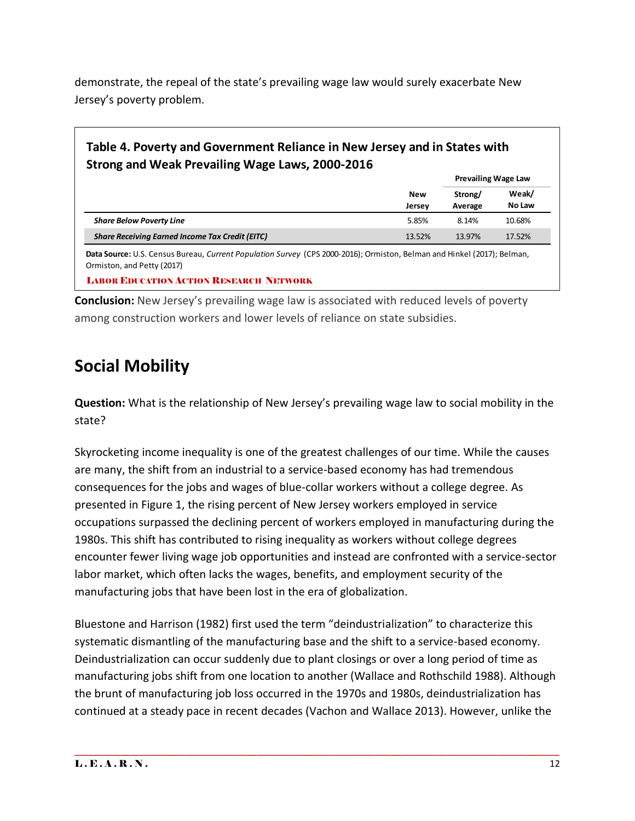demonstrate, the repeal of the state's prevailing wage law would surely exacerbate New Jersey's poverty problem.

#### **Table 4. Poverty and Government Reliance in New Jersey and in States with Strong and Weak Prevailing Wage Laws, 2000-2016**

**Prevailing Wage Law**

|                                                        | New<br>Jersey | Strong/<br>Average | Weak/<br>No Law |
|--------------------------------------------------------|---------------|--------------------|-----------------|
| <b>Share Below Poverty Line</b>                        | 5.85%         | 8.14%              | 10.68%          |
| <b>Share Receiving Earned Income Tax Credit (EITC)</b> | 13.52%        | 13.97%             | 17.52%          |

**Data Source:** U.S. Census Bureau, *Current Population Survey* (CPS 2000-2016); Ormiston, Belman and Hinkel (2017); Belman, Ormiston, and Petty (2017)

LABOR EDUCATION ACTION RESEARCH NETWORK

**Conclusion:** New Jersey's prevailing wage law is associated with reduced levels of poverty among construction workers and lower levels of reliance on state subsidies.

## **Social Mobility**

**Question:** What is the relationship of New Jersey's prevailing wage law to social mobility in the state?

Skyrocketing income inequality is one of the greatest challenges of our time. While the causes are many, the shift from an industrial to a service-based economy has had tremendous consequences for the jobs and wages of blue-collar workers without a college degree. As presented in Figure 1, the rising percent of New Jersey workers employed in service occupations surpassed the declining percent of workers employed in manufacturing during the 1980s. This shift has contributed to rising inequality as workers without college degrees encounter fewer living wage job opportunities and instead are confronted with a service-sector labor market, which often lacks the wages, benefits, and employment security of the manufacturing jobs that have been lost in the era of globalization.

Bluestone and Harrison (1982) first used the term "deindustrialization" to characterize this systematic dismantling of the manufacturing base and the shift to a service-based economy. Deindustrialization can occur suddenly due to plant closings or over a long period of time as manufacturing jobs shift from one location to another (Wallace and Rothschild 1988). Although the brunt of manufacturing job loss occurred in the 1970s and 1980s, deindustrialization has continued at a steady pace in recent decades (Vachon and Wallace 2013). However, unlike the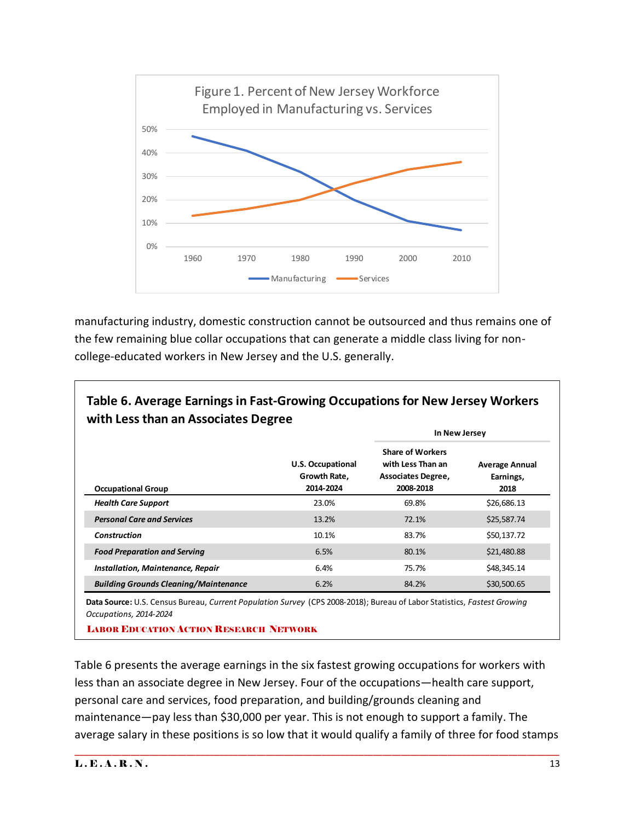

manufacturing industry, domestic construction cannot be outsourced and thus remains one of the few remaining blue collar occupations that can generate a middle class living for noncollege-educated workers in New Jersey and the U.S. generally.

|                                              |                                                       | In New Jersey                                                                   |                                            |  |
|----------------------------------------------|-------------------------------------------------------|---------------------------------------------------------------------------------|--------------------------------------------|--|
| <b>Occupational Group</b>                    | <b>U.S. Occupational</b><br>Growth Rate,<br>2014-2024 | <b>Share of Workers</b><br>with Less Than an<br>Associates Degree,<br>2008-2018 | <b>Average Annual</b><br>Earnings,<br>2018 |  |
| <b>Health Care Support</b>                   | 23.0%                                                 | 69.8%                                                                           | \$26,686.13                                |  |
| <b>Personal Care and Services</b>            | 13.2%                                                 | 72.1%                                                                           | \$25,587.74                                |  |
| <b>Construction</b>                          | 10.1%                                                 | 83.7%                                                                           | \$50,137.72                                |  |
| <b>Food Preparation and Serving</b>          | 6.5%                                                  | 80.1%                                                                           | \$21,480.88                                |  |
| <b>Installation, Maintenance, Repair</b>     | 6.4%                                                  | 75.7%                                                                           | \$48,345.14                                |  |
| <b>Building Grounds Cleaning/Maintenance</b> | 6.2%                                                  | 84.2%                                                                           | \$30,500.65                                |  |

**Table 6. Average Earnings in Fast-Growing Occupations for New Jersey Workers** 

**Data Source:** U.S. Census Bureau, *Current Population Survey* (CPS 2008-2018); Bureau of Labor Statistics, *Fastest Growing Occupations, 2014-2024*

LABOR EDUCATION ACTION RESEARCH NETWORK

Table 6 presents the average earnings in the six fastest growing occupations for workers with less than an associate degree in New Jersey. Four of the occupations—health care support, personal care and services, food preparation, and building/grounds cleaning and maintenance—pay less than \$30,000 per year. This is not enough to support a family. The average salary in these positions is so low that it would qualify a family of three for food stamps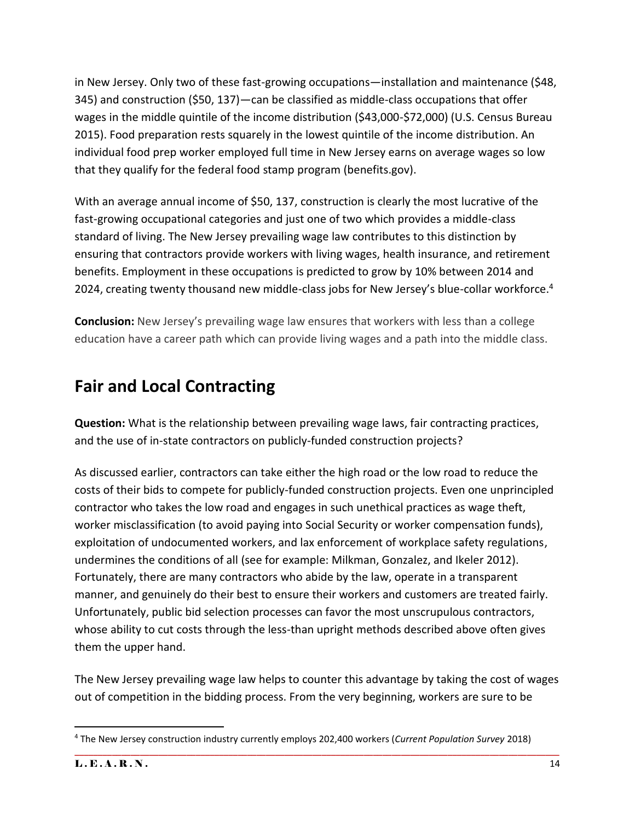in New Jersey. Only two of these fast-growing occupations—installation and maintenance (\$48, 345) and construction (\$50, 137)—can be classified as middle-class occupations that offer wages in the middle quintile of the income distribution (\$43,000-\$72,000) (U.S. Census Bureau 2015). Food preparation rests squarely in the lowest quintile of the income distribution. An individual food prep worker employed full time in New Jersey earns on average wages so low that they qualify for the federal food stamp program (benefits.gov).

With an average annual income of \$50, 137, construction is clearly the most lucrative of the fast-growing occupational categories and just one of two which provides a middle-class standard of living. The New Jersey prevailing wage law contributes to this distinction by ensuring that contractors provide workers with living wages, health insurance, and retirement benefits. Employment in these occupations is predicted to grow by 10% between 2014 and 2024, creating twenty thousand new middle-class jobs for New Jersey's blue-collar workforce.<sup>4</sup>

**Conclusion:** New Jersey's prevailing wage law ensures that workers with less than a college education have a career path which can provide living wages and a path into the middle class.

## **Fair and Local Contracting**

**Question:** What is the relationship between prevailing wage laws, fair contracting practices, and the use of in-state contractors on publicly-funded construction projects?

As discussed earlier, contractors can take either the high road or the low road to reduce the costs of their bids to compete for publicly-funded construction projects. Even one unprincipled contractor who takes the low road and engages in such unethical practices as wage theft, worker misclassification (to avoid paying into Social Security or worker compensation funds), exploitation of undocumented workers, and lax enforcement of workplace safety regulations, undermines the conditions of all (see for example: Milkman, Gonzalez, and Ikeler 2012). Fortunately, there are many contractors who abide by the law, operate in a transparent manner, and genuinely do their best to ensure their workers and customers are treated fairly. Unfortunately, public bid selection processes can favor the most unscrupulous contractors, whose ability to cut costs through the less-than upright methods described above often gives them the upper hand.

The New Jersey prevailing wage law helps to counter this advantage by taking the cost of wages out of competition in the bidding process. From the very beginning, workers are sure to be

\_\_\_\_\_\_\_\_\_\_\_\_\_\_\_\_\_\_\_\_\_\_\_\_\_\_\_\_\_\_\_\_\_\_\_\_\_\_\_\_\_\_\_\_\_\_\_\_\_\_\_\_\_\_\_\_\_\_\_\_\_\_\_\_\_\_\_\_\_\_\_\_\_\_\_\_\_\_\_\_\_\_\_\_\_\_\_\_\_\_\_\_\_\_\_\_\_\_\_\_\_\_\_\_

 $\overline{\phantom{a}}$ 

<sup>4</sup> The New Jersey construction industry currently employs 202,400 workers (*Current Population Survey* 2018)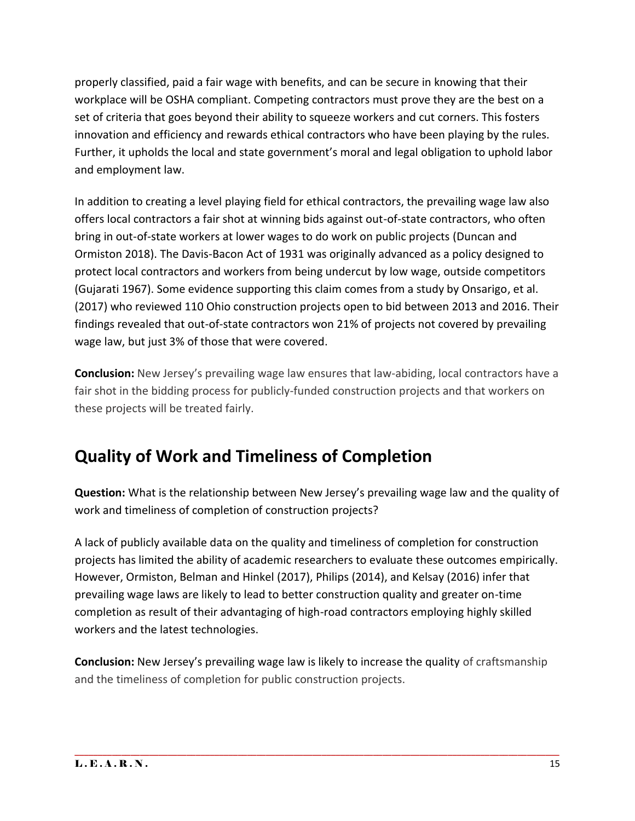properly classified, paid a fair wage with benefits, and can be secure in knowing that their workplace will be OSHA compliant. Competing contractors must prove they are the best on a set of criteria that goes beyond their ability to squeeze workers and cut corners. This fosters innovation and efficiency and rewards ethical contractors who have been playing by the rules. Further, it upholds the local and state government's moral and legal obligation to uphold labor and employment law.

In addition to creating a level playing field for ethical contractors, the prevailing wage law also offers local contractors a fair shot at winning bids against out-of-state contractors, who often bring in out-of-state workers at lower wages to do work on public projects (Duncan and Ormiston 2018). The Davis-Bacon Act of 1931 was originally advanced as a policy designed to protect local contractors and workers from being undercut by low wage, outside competitors (Gujarati 1967). Some evidence supporting this claim comes from a study by Onsarigo, et al. (2017) who reviewed 110 Ohio construction projects open to bid between 2013 and 2016. Their findings revealed that out-of-state contractors won 21% of projects not covered by prevailing wage law, but just 3% of those that were covered.

**Conclusion:** New Jersey's prevailing wage law ensures that law-abiding, local contractors have a fair shot in the bidding process for publicly-funded construction projects and that workers on these projects will be treated fairly.

## **Quality of Work and Timeliness of Completion**

**Question:** What is the relationship between New Jersey's prevailing wage law and the quality of work and timeliness of completion of construction projects?

A lack of publicly available data on the quality and timeliness of completion for construction projects has limited the ability of academic researchers to evaluate these outcomes empirically. However, Ormiston, Belman and Hinkel (2017), Philips (2014), and Kelsay (2016) infer that prevailing wage laws are likely to lead to better construction quality and greater on-time completion as result of their advantaging of high-road contractors employing highly skilled workers and the latest technologies.

**Conclusion:** New Jersey's prevailing wage law is likely to increase the quality of craftsmanship and the timeliness of completion for public construction projects.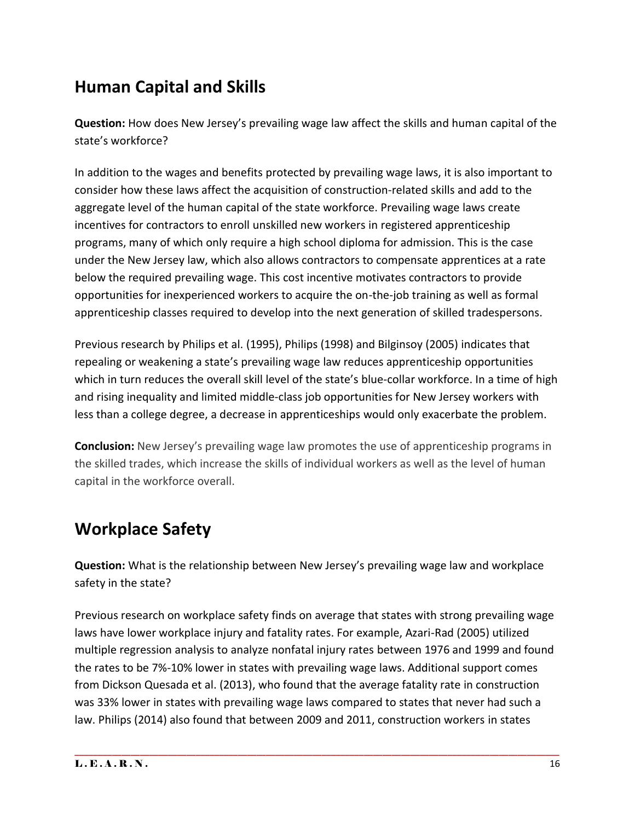### **Human Capital and Skills**

**Question:** How does New Jersey's prevailing wage law affect the skills and human capital of the state's workforce?

In addition to the wages and benefits protected by prevailing wage laws, it is also important to consider how these laws affect the acquisition of construction-related skills and add to the aggregate level of the human capital of the state workforce. Prevailing wage laws create incentives for contractors to enroll unskilled new workers in registered apprenticeship programs, many of which only require a high school diploma for admission. This is the case under the New Jersey law, which also allows contractors to compensate apprentices at a rate below the required prevailing wage. This cost incentive motivates contractors to provide opportunities for inexperienced workers to acquire the on-the-job training as well as formal apprenticeship classes required to develop into the next generation of skilled tradespersons.

Previous research by Philips et al. (1995), Philips (1998) and Bilginsoy (2005) indicates that repealing or weakening a state's prevailing wage law reduces apprenticeship opportunities which in turn reduces the overall skill level of the state's blue-collar workforce. In a time of high and rising inequality and limited middle-class job opportunities for New Jersey workers with less than a college degree, a decrease in apprenticeships would only exacerbate the problem.

**Conclusion:** New Jersey's prevailing wage law promotes the use of apprenticeship programs in the skilled trades, which increase the skills of individual workers as well as the level of human capital in the workforce overall.

## **Workplace Safety**

**Question:** What is the relationship between New Jersey's prevailing wage law and workplace safety in the state?

Previous research on workplace safety finds on average that states with strong prevailing wage laws have lower workplace injury and fatality rates. For example, Azari-Rad (2005) utilized multiple regression analysis to analyze nonfatal injury rates between 1976 and 1999 and found the rates to be 7%-10% lower in states with prevailing wage laws. Additional support comes from Dickson Quesada et al. (2013), who found that the average fatality rate in construction was 33% lower in states with prevailing wage laws compared to states that never had such a law. Philips (2014) also found that between 2009 and 2011, construction workers in states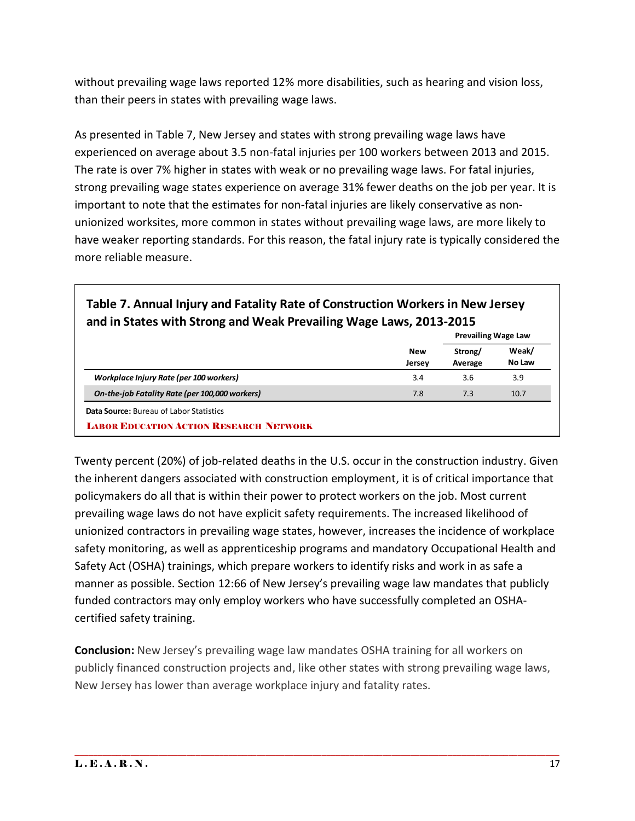without prevailing wage laws reported 12% more disabilities, such as hearing and vision loss, than their peers in states with prevailing wage laws.

As presented in Table 7, New Jersey and states with strong prevailing wage laws have experienced on average about 3.5 non-fatal injuries per 100 workers between 2013 and 2015. The rate is over 7% higher in states with weak or no prevailing wage laws. For fatal injuries, strong prevailing wage states experience on average 31% fewer deaths on the job per year. It is important to note that the estimates for non-fatal injuries are likely conservative as nonunionized worksites, more common in states without prevailing wage laws, are more likely to have weaker reporting standards. For this reason, the fatal injury rate is typically considered the more reliable measure.

| and in States with Strong and Weak Prevailing Wage Laws, 2013-2015 |               | <b>Prevailing Wage Law</b> |                 |
|--------------------------------------------------------------------|---------------|----------------------------|-----------------|
|                                                                    | New<br>Jersey | Strong/<br>Average         | Weak/<br>No Law |
| Workplace Injury Rate (per 100 workers)                            | 3.4           | 3.6                        | 3.9             |
| On-the-job Fatality Rate (per 100,000 workers)                     | 7.8           | 7.3                        | 10.7            |

# **Table 7. Annual Injury and Fatality Rate of Construction Workers in New Jersey**

Twenty percent (20%) of job-related deaths in the U.S. occur in the construction industry. Given the inherent dangers associated with construction employment, it is of critical importance that policymakers do all that is within their power to protect workers on the job. Most current prevailing wage laws do not have explicit safety requirements. The increased likelihood of unionized contractors in prevailing wage states, however, increases the incidence of workplace safety monitoring, as well as apprenticeship programs and mandatory Occupational Health and Safety Act (OSHA) trainings, which prepare workers to identify risks and work in as safe a manner as possible. Section 12:66 of New Jersey's prevailing wage law mandates that publicly funded contractors may only employ workers who have successfully completed an OSHAcertified safety training.

**Conclusion:** New Jersey's prevailing wage law mandates OSHA training for all workers on publicly financed construction projects and, like other states with strong prevailing wage laws, New Jersey has lower than average workplace injury and fatality rates.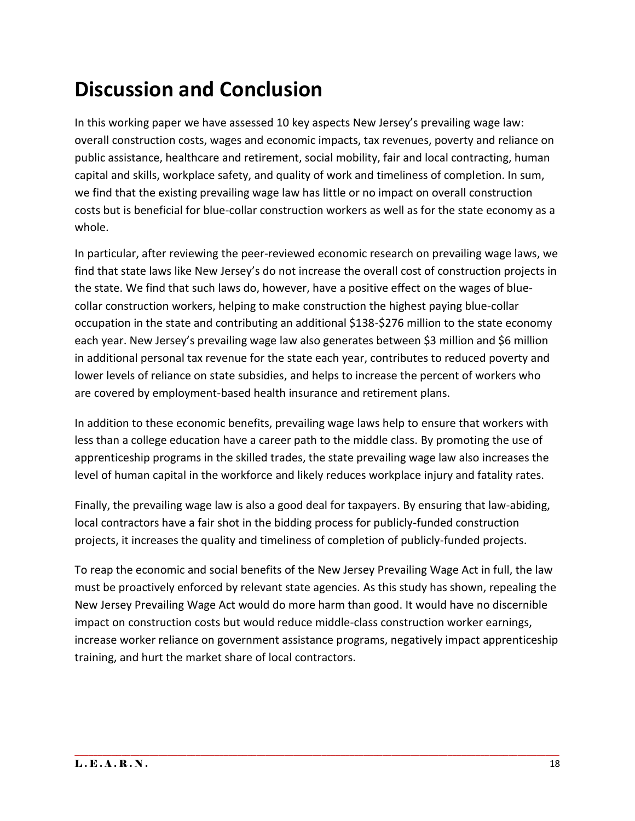# **Discussion and Conclusion**

In this working paper we have assessed 10 key aspects New Jersey's prevailing wage law: overall construction costs, wages and economic impacts, tax revenues, poverty and reliance on public assistance, healthcare and retirement, social mobility, fair and local contracting, human capital and skills, workplace safety, and quality of work and timeliness of completion. In sum, we find that the existing prevailing wage law has little or no impact on overall construction costs but is beneficial for blue-collar construction workers as well as for the state economy as a whole.

In particular, after reviewing the peer-reviewed economic research on prevailing wage laws, we find that state laws like New Jersey's do not increase the overall cost of construction projects in the state. We find that such laws do, however, have a positive effect on the wages of bluecollar construction workers, helping to make construction the highest paying blue-collar occupation in the state and contributing an additional \$138-\$276 million to the state economy each year. New Jersey's prevailing wage law also generates between \$3 million and \$6 million in additional personal tax revenue for the state each year, contributes to reduced poverty and lower levels of reliance on state subsidies, and helps to increase the percent of workers who are covered by employment-based health insurance and retirement plans.

In addition to these economic benefits, prevailing wage laws help to ensure that workers with less than a college education have a career path to the middle class. By promoting the use of apprenticeship programs in the skilled trades, the state prevailing wage law also increases the level of human capital in the workforce and likely reduces workplace injury and fatality rates.

Finally, the prevailing wage law is also a good deal for taxpayers. By ensuring that law-abiding, local contractors have a fair shot in the bidding process for publicly-funded construction projects, it increases the quality and timeliness of completion of publicly-funded projects.

To reap the economic and social benefits of the New Jersey Prevailing Wage Act in full, the law must be proactively enforced by relevant state agencies. As this study has shown, repealing the New Jersey Prevailing Wage Act would do more harm than good. It would have no discernible impact on construction costs but would reduce middle-class construction worker earnings, increase worker reliance on government assistance programs, negatively impact apprenticeship training, and hurt the market share of local contractors.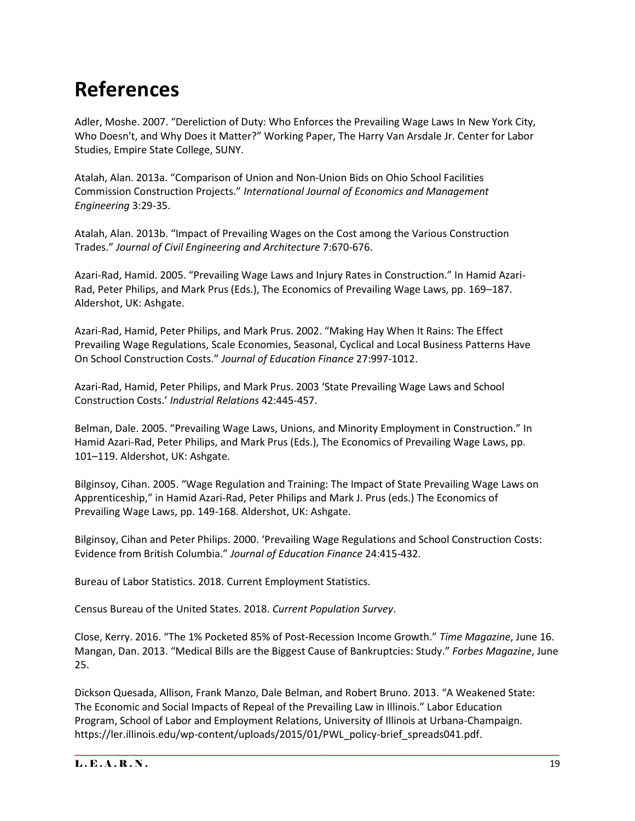## **References**

Adler, Moshe. 2007. "Dereliction of Duty: Who Enforces the Prevailing Wage Laws In New York City, Who Doesn't, and Why Does it Matter?" Working Paper, The Harry Van Arsdale Jr. Center for Labor Studies, Empire State College, SUNY.

Atalah, Alan. 2013a. "Comparison of Union and Non-Union Bids on Ohio School Facilities Commission Construction Projects." *International Journal of Economics and Management Engineering* 3:29-35.

Atalah, Alan. 2013b. "Impact of Prevailing Wages on the Cost among the Various Construction Trades." *Journal of Civil Engineering and Architecture* 7:670-676.

Azari-Rad, Hamid. 2005. "Prevailing Wage Laws and Injury Rates in Construction." In Hamid Azari-Rad, Peter Philips, and Mark Prus (Eds.), The Economics of Prevailing Wage Laws, pp. 169–187. Aldershot, UK: Ashgate.

Azari-Rad, Hamid, Peter Philips, and Mark Prus. 2002. "Making Hay When It Rains: The Effect Prevailing Wage Regulations, Scale Economies, Seasonal, Cyclical and Local Business Patterns Have On School Construction Costs." *Journal of Education Finance* 27:997-1012.

Azari-Rad, Hamid, Peter Philips, and Mark Prus. 2003 'State Prevailing Wage Laws and School Construction Costs.' *Industrial Relations* 42:445-457.

Belman, Dale. 2005. "Prevailing Wage Laws, Unions, and Minority Employment in Construction." In Hamid Azari-Rad, Peter Philips, and Mark Prus (Eds.), The Economics of Prevailing Wage Laws, pp. 101–119. Aldershot, UK: Ashgate.

Bilginsoy, Cihan. 2005. "Wage Regulation and Training: The Impact of State Prevailing Wage Laws on Apprenticeship," in Hamid Azari-Rad, Peter Philips and Mark J. Prus (eds.) The Economics of Prevailing Wage Laws, pp. 149-168. Aldershot, UK: Ashgate.

Bilginsoy, Cihan and Peter Philips. 2000. 'Prevailing Wage Regulations and School Construction Costs: Evidence from British Columbia." *Journal of Education Finance* 24:415-432.

Bureau of Labor Statistics. 2018. Current Employment Statistics.

Census Bureau of the United States. 2018. *Current Population Survey*.

Close, Kerry. 2016. "The 1% Pocketed 85% of Post-Recession Income Growth." *Time Magazine*, June 16. Mangan, Dan. 2013. "Medical Bills are the Biggest Cause of Bankruptcies: Study." *Forbes Magazine*, June 25.

Dickson Quesada, Allison, Frank Manzo, Dale Belman, and Robert Bruno. 2013. "A Weakened State: The Economic and Social Impacts of Repeal of the Prevailing Law in Illinois." Labor Education Program, School of Labor and Employment Relations, University of Illinois at Urbana-Champaign. https://ler.illinois.edu/wp-content/uploads/2015/01/PWL\_policy-brief\_spreads041.pdf.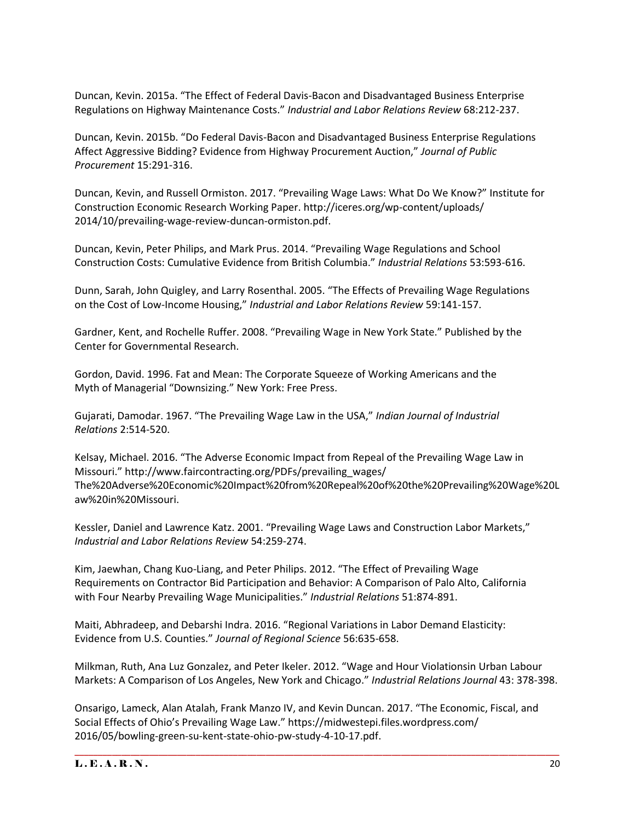Duncan, Kevin. 2015a. "The Effect of Federal Davis-Bacon and Disadvantaged Business Enterprise Regulations on Highway Maintenance Costs." *Industrial and Labor Relations Review* 68:212-237.

Duncan, Kevin. 2015b. "Do Federal Davis-Bacon and Disadvantaged Business Enterprise Regulations Affect Aggressive Bidding? Evidence from Highway Procurement Auction," *Journal of Public Procurement* 15:291-316.

Duncan, Kevin, and Russell Ormiston. 2017. "Prevailing Wage Laws: What Do We Know?" Institute for Construction Economic Research Working Paper. http://iceres.org/wp-content/uploads/ 2014/10/prevailing-wage-review-duncan-ormiston.pdf.

Duncan, Kevin, Peter Philips, and Mark Prus. 2014. "Prevailing Wage Regulations and School Construction Costs: Cumulative Evidence from British Columbia." *Industrial Relations* 53:593-616.

Dunn, Sarah, John Quigley, and Larry Rosenthal. 2005. "The Effects of Prevailing Wage Regulations on the Cost of Low-Income Housing," *Industrial and Labor Relations Review* 59:141-157.

Gardner, Kent, and Rochelle Ruffer. 2008. "Prevailing Wage in New York State." Published by the Center for Governmental Research.

Gordon, David. 1996. Fat and Mean: The Corporate Squeeze of Working Americans and the Myth of Managerial "Downsizing." New York: Free Press.

Gujarati, Damodar. 1967. "The Prevailing Wage Law in the USA," *Indian Journal of Industrial Relations* 2:514-520.

Kelsay, Michael. 2016. "The Adverse Economic Impact from Repeal of the Prevailing Wage Law in Missouri." http://www.faircontracting.org/PDFs/prevailing\_wages/ The%20Adverse%20Economic%20Impact%20from%20Repeal%20of%20the%20Prevailing%20Wage%20L aw%20in%20Missouri.

Kessler, Daniel and Lawrence Katz. 2001. "Prevailing Wage Laws and Construction Labor Markets," *Industrial and Labor Relations Review* 54:259-274.

Kim, Jaewhan, Chang Kuo-Liang, and Peter Philips. 2012. "The Effect of Prevailing Wage Requirements on Contractor Bid Participation and Behavior: A Comparison of Palo Alto, California with Four Nearby Prevailing Wage Municipalities." *Industrial Relations* 51:874-891.

Maiti, Abhradeep, and Debarshi Indra. 2016. "Regional Variations in Labor Demand Elasticity: Evidence from U.S. Counties." *Journal of Regional Science* 56:635-658.

Milkman, Ruth, Ana Luz Gonzalez, and Peter Ikeler. 2012. "Wage and Hour Violationsin Urban Labour Markets: A Comparison of Los Angeles, New York and Chicago." *Industrial Relations Journal* 43: 378-398.

Onsarigo, Lameck, Alan Atalah, Frank Manzo IV, and Kevin Duncan. 2017. "The Economic, Fiscal, and Social Effects of Ohio's Prevailing Wage Law." https://midwestepi.files.wordpress.com/ 2016/05/bowling-green-su-kent-state-ohio-pw-study-4-10-17.pdf.